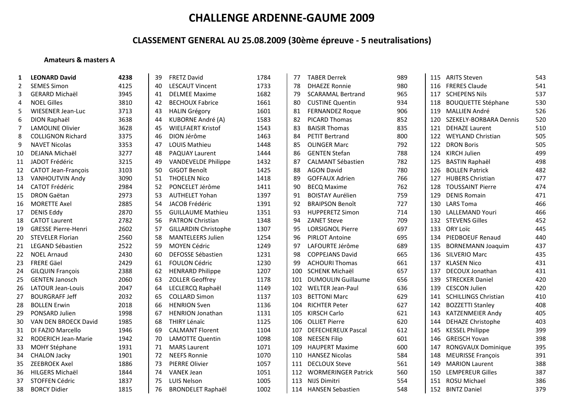## **CLASSEMENT GENERAL AU 25.08.2009 (30ème épreuve ‐ 5 neutralisations)**

### **Amateurs & masters A**

| 1  | <b>LEONARD David</b>       | 4238 | 39 | <b>FRETZ David</b>          | 1784 | 77  | <b>TABER Derrek</b>        | 989 | 115 | <b>ARITS Steven</b>         | 543 |
|----|----------------------------|------|----|-----------------------------|------|-----|----------------------------|-----|-----|-----------------------------|-----|
| 2  | <b>SEMES Simon</b>         | 4125 | 40 | <b>LESCAUT Vincent</b>      | 1733 | 78  | <b>DHAEZE Ronnie</b>       | 980 | 116 | <b>FRERES Claude</b>        | 541 |
| 3  | <b>GERARD Michaël</b>      | 3945 | 41 | <b>DELMEE Maxime</b>        | 1682 | 79  | <b>SCARAMAL Bertrand</b>   | 965 | 117 | <b>SCHEPENS Nils</b>        | 537 |
| 4  | <b>NOEL Gilles</b>         | 3810 | 42 | <b>BECHOUX Fabrice</b>      | 1661 | 80  | <b>CUSTINE Quentin</b>     | 934 | 118 | <b>BOUQUETTE Stéphane</b>   | 530 |
| 5  | <b>WIESENER Jean-Luc</b>   | 3713 | 43 | <b>HALIN Grégory</b>        | 1601 | 81  | <b>FERNANDEZ Roque</b>     | 906 | 119 | <b>MALLIEN André</b>        | 526 |
| 6  | DION Raphaël               | 3638 | 44 | KUBORNE André (A)           | 1583 | 82  | PICARD Thomas              | 852 | 120 | SZEKELY-BORBARA Dennis      | 520 |
| 7  | <b>LAMOLINE Olivier</b>    | 3628 | 45 | <b>WIELFAERT Kristof</b>    | 1543 | 83  | <b>BAISIR Thomas</b>       | 835 | 121 | <b>DEHAZE Laurent</b>       | 510 |
| 8  | <b>COLLIGNON Richard</b>   | 3375 | 46 | DION Jérôme                 | 1463 | 84  | <b>PETIT Bertrand</b>      | 800 | 122 | <b>WEYLAND Christian</b>    | 505 |
| 9  | <b>NAVET Nicolas</b>       | 3353 | 47 | <b>LOUIS Mathieu</b>        | 1448 | 85  | <b>OLINGER Marc</b>        | 792 | 122 | <b>DRON Boris</b>           | 505 |
| 10 | DEJANA Michaël             | 3277 | 48 | PAQUAY Laurent              | 1444 | 86  | <b>GENTEN Stefan</b>       | 788 | 124 | <b>KIRCH Julien</b>         | 499 |
| 11 | JADOT Frédéric             | 3215 | 49 | <b>VANDEVELDE Philippe</b>  | 1432 | 87  | <b>CALMANT Sébastien</b>   | 782 | 125 | <b>BASTIN Raphaël</b>       | 498 |
| 12 | <b>CATOT Jean-François</b> | 3103 | 50 | GIGOT Benoît                | 1425 | 88  | <b>AGON David</b>          | 780 | 126 | <b>BOLLEN Patrick</b>       | 482 |
| 13 | <b>VANHOUTVIN Andy</b>     | 3090 | 51 | <b>THOELEN Nico</b>         | 1418 | 89  | <b>GOFFAUX Adrien</b>      | 766 | 127 | <b>HUBERS Christian</b>     | 477 |
| 14 | <b>CATOT Frédéric</b>      | 2984 | 52 | PONCELET Jérôme             | 1411 | 90  | <b>BECO Maxime</b>         | 762 | 128 | <b>TOUSSAINT Pierre</b>     | 474 |
| 15 | <b>DRON Gaëtan</b>         | 2973 | 53 | <b>AUTHELET Yohan</b>       | 1397 | 91  | <b>BOISTAY Aurélien</b>    | 759 | 129 | <b>DENIS Romain</b>         | 471 |
| 16 | <b>MORETTE Axel</b>        | 2885 | 54 | JACOB Frédéric              | 1391 | 92  | <b>BRAIPSON Benoît</b>     | 727 | 130 | <b>LARS Toma</b>            | 466 |
| 17 | <b>DENIS Eddy</b>          | 2870 | 55 | <b>GUILLAUME Mathieu</b>    | 1351 | 93  | <b>HUPPERETZ Simon</b>     | 714 | 130 | <b>LALLEMAND Youri</b>      | 466 |
| 18 | <b>CATOT Laurent</b>       | 2782 | 56 | <b>PATRON Christian</b>     | 1348 | 94  | <b>ZANET Steve</b>         | 709 | 132 | <b>STEVENS Gilles</b>       | 452 |
| 19 | <b>GRESSE Pierre-Henri</b> | 2602 | 57 | <b>GILLARDIN Christophe</b> | 1307 | 95  | <b>LORSIGNOL Pierre</b>    | 697 | 133 | <b>ORY Loïc</b>             | 445 |
| 20 | <b>STEVELER Florian</b>    | 2560 | 58 | <b>MANTELEERS Julien</b>    | 1254 | 96  | PIRLOT Antoine             | 695 | 134 | PIEDBOEUF Renaud            | 440 |
| 21 | LEGAND Sébastien           | 2522 | 59 | <b>MOYEN Cédric</b>         | 1249 | 97  | LAFOURTE Jérôme            | 689 | 135 | <b>BORNEMANN Joaquim</b>    | 437 |
| 22 | <b>NOEL Arnaud</b>         | 2430 | 60 | DEFOSSE Sébastien           | 1231 | 98  | <b>COPPEJANS David</b>     | 665 | 136 | <b>SILVERIO Marc</b>        | 435 |
| 23 | <b>FRERE Gäel</b>          | 2429 | 61 | <b>FOULON Cédric</b>        | 1230 | 99  | <b>ACHOURI Thomas</b>      | 661 | 137 | <b>KLASEN Nico</b>          | 431 |
| 24 | <b>GILQUIN François</b>    | 2388 | 62 | <b>HENRARD Philippe</b>     | 1207 | 100 | <b>SCHENK Michaël</b>      | 657 | 137 | DECOUX Jonathan             | 431 |
| 25 | <b>GENTEN Janosch</b>      | 2060 | 63 | <b>ZOLLER Geoffrey</b>      | 1178 | 101 | <b>DUMOULIN Guillaume</b>  | 656 | 139 | <b>STRECKER Daniel</b>      | 420 |
| 26 | LATOUR Jean-Louis          | 2047 | 64 | LECLERCQ Raphaël            | 1149 | 102 | WELTER Jean-Paul           | 636 | 139 | <b>CESCON Julien</b>        | 420 |
| 27 | <b>BOURGRAFF Jeff</b>      | 2032 | 65 | <b>COLLARD Simon</b>        | 1137 | 103 | <b>BETTONI Marc</b>        | 629 | 141 | <b>SCHILLINGS Christian</b> | 410 |
| 28 | <b>BOLLEN Erwin</b>        | 2018 | 66 | <b>HENRION Sven</b>         | 1136 | 104 | <b>RICHTER Peter</b>       | 627 | 142 | <b>BOZZETTI Stanley</b>     | 408 |
| 29 | PONSARD Julien             | 1998 | 67 | <b>HENRION Jonathan</b>     | 1131 | 105 | KIRSCH Carlo               | 621 | 143 | <b>KATZENMEIER Andy</b>     | 405 |
| 30 | VAN DEN BROECK David       | 1985 | 68 | <b>THIRY Lénaïc</b>         | 1125 | 106 | <b>OLLIET Pierre</b>       | 620 | 144 | <b>DEHAZE Christophe</b>    | 403 |
| 31 | DI FAZIO Marcello          | 1946 | 69 | <b>CALMANT Florent</b>      | 1104 | 107 | <b>DEFECHEREUX Pascal</b>  | 612 | 145 | <b>KESSEL Philippe</b>      | 399 |
| 32 | <b>RODERICH Jean-Marie</b> | 1942 | 70 | <b>LAMOTTE Quentin</b>      | 1098 | 108 | <b>NEESEN Filip</b>        | 601 | 146 | <b>GREISCH Yovan</b>        | 398 |
| 33 | <b>MOHY Stéphane</b>       | 1931 | 71 | <b>MARS Laurent</b>         | 1071 | 109 | <b>HAUPERT Maxime</b>      | 600 | 147 | RONGVAUX Dominique          | 395 |
| 34 | <b>CHALON Jacky</b>        | 1901 | 72 | <b>NEEFS Ronnie</b>         | 1070 | 110 | <b>HANSEZ Nicolas</b>      | 584 | 148 | <b>MEURISSE François</b>    | 391 |
| 35 | <b>ZEEBROEK Axel</b>       | 1886 | 73 | <b>PIERRE Olivier</b>       | 1057 | 111 | <b>DECLOUX Steve</b>       | 561 | 149 | <b>MARION Laurent</b>       | 388 |
| 36 | <b>HILGERS Michaël</b>     | 1844 | 74 | <b>VANEK Jean</b>           | 1051 | 112 | <b>WORMERINGER Patrick</b> | 560 | 150 | <b>LEMPEREUR Gilles</b>     | 387 |
| 37 | <b>STOFFEN Cédric</b>      | 1837 | 75 | <b>LUIS Nelson</b>          | 1005 | 113 | NIJS Dimitri               | 554 | 151 | ROSU Michael                | 386 |
| 38 | <b>BORCY Didier</b>        | 1815 | 76 | <b>BRONDELET Raphaël</b>    | 1002 | 114 | <b>HANSEN Sebastien</b>    | 548 |     | 152 BINTZ Daniel            | 379 |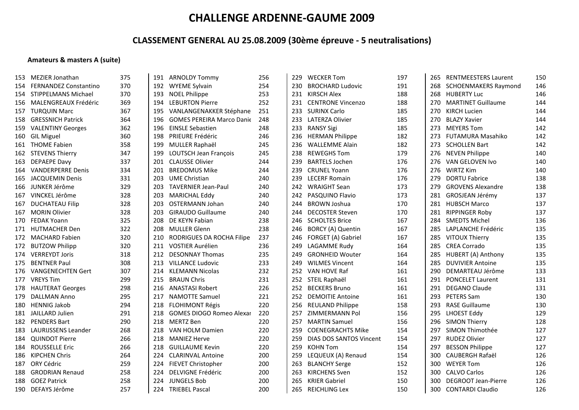## **CLASSEMENT GENERAL AU 25.08.2009 (30ème épreuve ‐ 5 neutralisations)**

### **Amateurs & masters A (suite)**

| 153 | MEZIER Jonathan              | 375 | 191 | <b>ARNOLDY Tommy</b>             | 256 | 229 | <b>WECKER Tom</b>        | 197 | 265 | <b>RENTMEESTERS Laurent</b> | 150 |
|-----|------------------------------|-----|-----|----------------------------------|-----|-----|--------------------------|-----|-----|-----------------------------|-----|
| 154 | <b>FERNANDEZ Constantino</b> | 370 | 192 | <b>WYEME Sylvain</b>             | 254 | 230 | <b>BROCHARD Ludovic</b>  | 191 |     | 268 SCHOENMAKERS Raymond    | 146 |
| 154 | STIPPELMANS Michael          | 370 | 193 | <b>NOEL Philippe</b>             | 253 |     | 231 KIRSCH Alex          | 188 |     | 268 HUBERTY Luc             | 146 |
| 156 | MALENGREAUX Frédéric         | 369 | 194 | <b>LEBURTON Pierre</b>           | 252 | 231 | <b>CENTRONE Vincenzo</b> | 188 | 270 | <b>MARTINET Guillaume</b>   | 144 |
| 157 | <b>TURQUIN Marc</b>          | 367 | 195 | VANLANGENAKKER Stéphane          | 251 | 233 | <b>SURINX Carlo</b>      | 185 | 270 | KIRCH Lucien                | 144 |
| 158 | <b>GRESSNICH Patrick</b>     | 364 | 196 | <b>GOMES PEREIRA Marco Danie</b> | 248 | 233 | <b>LATERZA Olivier</b>   | 185 | 270 | <b>BLAZY Xavier</b>         | 144 |
| 159 | <b>VALENTINY Georges</b>     | 362 | 196 | <b>EINSLE Sebastien</b>          | 248 | 233 | <b>RANSY Sigi</b>        | 185 | 273 | <b>MEYERS Tom</b>           | 142 |
| 160 | <b>GIL Miguel</b>            | 360 | 198 | PRIEURE Frédéric                 | 246 | 236 | <b>HERMAN Philippe</b>   | 182 | 273 | <b>FUTAMURA Masahiko</b>    | 142 |
| 161 | <b>THOME Fabien</b>          | 358 | 199 | MULLER Raphaël                   | 245 | 236 | <b>WALLEMME Alain</b>    | 182 | 273 | <b>SCHOLLEN Bart</b>        | 142 |
| 162 | <b>STEVENS Thierry</b>       | 347 | 199 | LOUTSCH Jean François            | 245 | 238 | <b>REWEGHS Tom</b>       | 179 | 276 | <b>NEVEN Philippe</b>       | 140 |
| 163 | <b>DEPAEPE Davy</b>          | 337 | 201 | <b>CLAUSSE Olivier</b>           | 244 | 239 | <b>BARTELS Jochen</b>    | 176 | 276 | VAN GELOVEN Ivo             | 140 |
| 164 | <b>VANDERPERRE Denis</b>     | 334 | 201 | <b>BREDOMUS Mike</b>             | 244 | 239 | <b>CRUNEL Yoann</b>      | 176 | 276 | WIRTZ Kim                   | 140 |
| 165 | <b>JACQUEMIN Denis</b>       | 331 | 203 | <b>UME Christian</b>             | 240 | 239 | <b>LECERF Romain</b>     | 176 | 279 | <b>DORTU Fabrice</b>        | 138 |
| 166 | JUNKER Jérôme                | 329 | 203 | <b>TAVERNIER Jean-Paul</b>       | 240 | 242 | <b>WRAIGHT Sean</b>      | 173 | 279 | <b>GROVENS Alexandre</b>    | 138 |
| 167 | VINCKEL Jérôme               | 328 | 203 | <b>MARICHAL Eddy</b>             | 240 | 242 | PASQUINO Flavio          | 173 | 281 | GROSJEAN Jérémy             | 137 |
| 167 | <b>DUCHATEAU Filip</b>       | 328 | 203 | <b>OSTERMANN Johan</b>           | 240 | 244 | <b>BROWN Joshua</b>      | 170 | 281 | <b>HUBSCH Marco</b>         | 137 |
| 167 | <b>MORIN Olivier</b>         | 328 | 203 | <b>GIRAUDO Guillaume</b>         | 240 | 244 | <b>DECOSTER Steven</b>   | 170 | 281 | <b>RIPPINGER Roby</b>       | 137 |
| 170 | <b>FEDAK Yoann</b>           | 325 | 208 | DE KEYN Fabian                   | 238 | 246 | <b>SCHOLTES Brice</b>    | 167 | 284 | <b>SMEDTS Michel</b>        | 136 |
|     | 171 HUTMACHER Den            | 322 | 208 | <b>MULLER Glenn</b>              | 238 | 246 | BORCY (A) Quentin        | 167 | 285 | LAPLANCHE Frédéric          | 135 |
| 172 | <b>MACHARD Fabien</b>        | 320 | 210 | RODRIGUES DA ROCHA Filipe        | 237 | 246 | FORGET (A) Gabriel       | 167 | 285 | VITOUX Thierry              | 135 |
| 172 | <b>BUTZOW Philipp</b>        | 320 | 211 | VOSTIER Aurélien                 | 236 | 249 | LAGAMME Rudy             | 164 | 285 | <b>CREA Corrado</b>         | 135 |
| 174 | <b>VERREYDT Joris</b>        | 318 | 212 | <b>DESONNAY Thomas</b>           | 235 | 249 | <b>GRONHEID Wouter</b>   | 164 | 285 | HUBERT (A) Anthony          | 135 |
| 175 | <b>BENTNER Paul</b>          | 308 | 213 | <b>VILLANCE Ludovic</b>          | 233 | 249 | <b>WILMES Vincent</b>    | 164 | 285 | <b>DUVIVIER Antoine</b>     | 135 |
| 176 | <b>VANGENECHTEN Gert</b>     | 307 | 214 | <b>KLEMANN Nicolas</b>           | 232 | 252 | VAN HOVE Raf             | 161 | 290 | DEMARTEAU Jérôme            | 133 |
| 177 | <b>VREYS Tim</b>             | 299 | 215 | <b>BRAUN Chris</b>               | 231 | 252 | STEIL Raphaël            | 161 | 291 | <b>PONCELET Laurent</b>     | 131 |
| 178 | <b>HAUTERAT Georges</b>      | 298 | 216 | <b>ANASTASI Robert</b>           | 226 | 252 | <b>BECKERS Bruno</b>     | 161 | 291 | DEGANO Claude               | 131 |
| 179 | <b>DALLMAN Anno</b>          | 295 | 217 | <b>NAMOTTE Samuel</b>            | 221 | 252 | <b>DEMOITIE Antoine</b>  | 161 | 293 | <b>PETERS Sam</b>           | 130 |
| 180 | <b>HENNIG Jakob</b>          | 294 | 218 | <b>FLOHIMONT Régis</b>           | 220 | 256 | <b>REULAND Philippe</b>  | 158 | 293 | <b>RASE Guillaume</b>       | 130 |
|     | 181 JAILLARD Julien          | 291 | 218 | <b>GOMES DIOGO Romeo Alexar</b>  | 220 | 257 | <b>ZIMMERMANN Pol</b>    | 156 | 295 | LHOEST Eddy                 | 129 |
|     | 182 PENDERS Bart             | 290 | 218 | <b>MERTZ Ben</b>                 | 220 | 257 | <b>MARTIN Samuel</b>     | 156 | 296 | <b>SIMON Thierry</b>        | 128 |
| 183 | LAURIJSSENS Leander          | 268 | 218 | VAN HOLM Damien                  | 220 | 259 | <b>COENEGRACHTS Mike</b> | 154 | 297 | SIMON Thimothée             | 127 |
|     | 184 QUINDOT Pierre           | 266 | 218 | <b>MANIEZ Herve</b>              | 220 | 259 | DIAS DOS SANTOS Vincent  | 154 | 297 | <b>RUDEZ Olivier</b>        | 127 |
| 184 | <b>ROUSSELLE Eric</b>        | 266 | 218 | <b>GUILLAUME Kevin</b>           | 220 | 259 | <b>KOHN Tom</b>          | 154 | 297 | <b>BESSON Philippe</b>      | 127 |
|     | 186 KIPCHEN Chris            | 264 | 224 | <b>CLARINVAL Antoine</b>         | 200 | 259 | LEQUEUX (A) Renaud       | 154 | 300 | <b>CAUBERGH Rafaël</b>      | 126 |
| 187 | ORY Cédric                   | 259 | 224 | FIEVET Christopher               | 200 | 263 | <b>BLANCHY Serge</b>     | 152 | 300 | <b>WEYER Tom</b>            | 126 |
| 188 | <b>GRODRIAN Renaud</b>       | 258 | 224 | DELVIGNE Frédéric                | 200 | 263 | <b>KIRCHENS Sven</b>     | 152 | 300 | <b>CALVO Carlos</b>         | 126 |
| 188 | <b>GOEZ Patrick</b>          | 258 | 224 | <b>JUNGELS Bob</b>               | 200 | 265 | <b>KRIER Gabriel</b>     | 150 | 300 | <b>DEGROOT Jean-Pierre</b>  | 126 |
|     | 190 DEFAYS Jérôme            | 257 | 224 | <b>TRIEBEL Pascal</b>            | 200 | 265 | <b>REICHLING Lex</b>     | 150 |     | 300 CONTARDI Claudio        | 126 |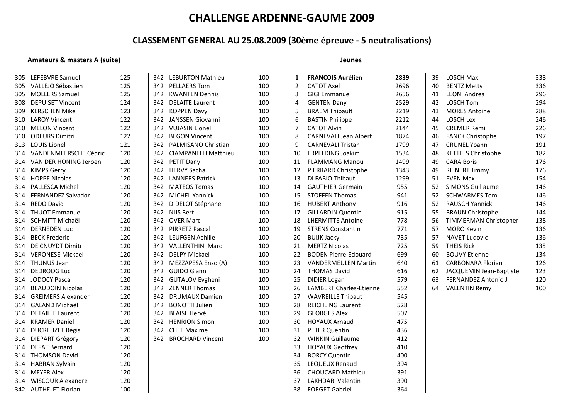### **CLASSEMENT GENERAL AU 25.08.2009 (30ème épreuve ‐ 5 neutralisations)**

#### **Amateurs & masters A (suite) Jeunes**

|  | leune: |  |  |
|--|--------|--|--|
|--|--------|--|--|

| 305. | LEFEBVRE Samuel           | 125 |     | 342 LEBURTON Mathieu        | 100 | 1  | <b>FRANCOIS Aurélien</b>     | 2839 | 39 | <b>LOSCH Max</b>           | 338 |
|------|---------------------------|-----|-----|-----------------------------|-----|----|------------------------------|------|----|----------------------------|-----|
| 305  | VALLEJO Sébastien         | 125 | 342 | <b>PELLAERS Tom</b>         | 100 | 2  | <b>CATOT Axel</b>            | 2696 | 40 | <b>BENTZ Metty</b>         | 336 |
| 305  | <b>MOLLERS Samuel</b>     | 125 | 342 | <b>KWANTEN Dennis</b>       | 100 | 3  | <b>GIGI Emmanuel</b>         | 2656 | 41 | <b>LEONI Andrea</b>        | 296 |
| 308  | <b>DEPUISET Vincent</b>   | 124 | 342 | <b>DELAITE Laurent</b>      | 100 | 4  | <b>GENTEN Dany</b>           | 2529 | 42 | <b>LOSCH Tom</b>           | 294 |
| 309  | KERSCHEN Mike             | 123 | 342 | <b>KOPPEN Davy</b>          | 100 | 5  | <b>BRAEM Thibault</b>        | 2219 | 43 | <b>MORES Antoine</b>       | 288 |
| 310  | <b>LAROY Vincent</b>      | 122 | 342 | JANSSEN Giovanni            | 100 | 6  | <b>BASTIN Philippe</b>       | 2212 | 44 | <b>LOSCH Lex</b>           | 246 |
| 310  | <b>MELON Vincent</b>      | 122 | 342 | <b>VUJASIN Lionel</b>       | 100 | 7  | <b>CATOT Alvin</b>           | 2144 | 45 | <b>CREMER Remi</b>         | 226 |
| 310  | <b>ODEURS Dimitri</b>     | 122 | 342 | <b>BEGON Vincent</b>        | 100 | 8  | <b>CARNEVALI Jean Albert</b> | 1874 | 46 | <b>FANCK Christophe</b>    | 197 |
| 313  | <b>LOUIS Lionel</b>       | 121 | 342 | PALMISANO Christian         | 100 | 9  | <b>CARNEVALI Tristan</b>     | 1799 | 47 | <b>CRUNEL Yoann</b>        | 191 |
| 314  | VANDENMEERSCHE Cédric     | 120 | 342 | <b>CIAMPANELLI Matthieu</b> | 100 | 10 | <b>ERPELDING Joakim</b>      | 1534 | 48 | <b>KETTELS Christophe</b>  | 182 |
| 314  | VAN DER HONING Jeroen     | 120 |     | 342 PETIT Dany              | 100 | 11 | <b>FLAMMANG Manou</b>        | 1499 | 49 | <b>CARA Boris</b>          | 176 |
|      | 314 KIMPS Gerry           | 120 | 342 | <b>HERVY Sacha</b>          | 100 | 12 | PIERRARD Christophe          | 1343 | 49 | <b>REINERT Jimmy</b>       | 176 |
|      | 314 HOPPE Nicolas         | 120 | 342 | <b>LANNERS Patrick</b>      | 100 | 13 | DI FABIO Thibaut             | 1299 | 51 | <b>EVEN Max</b>            | 154 |
|      | 314 PALLESCA Michel       | 120 | 342 | <b>MATEOS Tomas</b>         | 100 | 14 | <b>GAUTHIER Germain</b>      | 955  | 52 | <b>SIMONS Guillaume</b>    | 146 |
|      | 314 FERNANDEZ Salvador    | 120 | 342 | <b>MICHEL Yannick</b>       | 100 | 15 | <b>STOFFEN Thomas</b>        | 941  | 52 | <b>SCHWARMES Tom</b>       | 146 |
|      | 314 REDO David            | 120 | 342 | DIDELOT Stéphane            | 100 | 16 | <b>HUBERT Anthony</b>        | 916  | 52 | <b>RAUSCH Yannick</b>      | 146 |
|      | 314 THUOT Emmanuel        | 120 | 342 | NIJS Bert                   | 100 | 17 | <b>GILLARDIN Quentin</b>     | 915  | 55 | <b>BRAUN Christophe</b>    | 144 |
| 314  | <b>SCHMITT Michaël</b>    | 120 | 342 | <b>OVER Marc</b>            | 100 | 18 | <b>LHERMITTE Antoine</b>     | 778  | 56 | TIMMERMAN Christopher      | 138 |
| 314  | <b>DERNEDEN Luc</b>       | 120 | 342 | <b>PIRRETZ Pascal</b>       | 100 | 19 | <b>STRENS Constantin</b>     | 771  | 57 | <b>MORO Kevin</b>          | 136 |
| 314  | <b>BECK Frédéric</b>      | 120 | 342 | <b>LEUFGEN Achille</b>      | 100 | 20 | <b>BUIJK Jacky</b>           | 735  | 57 | <b>NAVET Ludovic</b>       | 136 |
| 314  | DE CNUYDT Dimitri         | 120 | 342 | <b>VALLENTHINI Marc</b>     | 100 | 21 | <b>MERTZ Nicolas</b>         | 725  | 59 | <b>THEIS Rick</b>          | 135 |
| 314  | <b>VERONESE Mickael</b>   | 120 | 342 | <b>DELPY Mickael</b>        | 100 | 22 | <b>BODEN Pierre-Edouard</b>  | 699  | 60 | <b>BOUVY Etienne</b>       | 134 |
|      | 314 THUNUS Jean           | 120 | 342 | MEZZAPESA Enzo (A)          | 100 | 23 | <b>VANDERMEULEN Martin</b>   | 640  | 61 | <b>CARBONARA Florian</b>   | 126 |
| 314  | <b>DEDROOG Luc</b>        | 120 | 342 | <b>GUIDO Gianni</b>         | 100 | 24 | <b>THOMAS David</b>          | 616  | 62 | JACQUEMIN Jean-Baptiste    | 123 |
| 314  | <b>JODOCY Pascal</b>      | 120 | 342 | <b>GUTALOV Evgheni</b>      | 100 | 25 | <b>DIDIER Logan</b>          | 579  | 63 | <b>FERNANDEZ Antonio J</b> | 120 |
| 314  | <b>BEAUDOIN Nicolas</b>   | 120 | 342 | <b>ZENNER Thomas</b>        | 100 | 26 | LAMBERT Charles-Etienne      | 552  | 64 | <b>VALENTIN Remy</b>       | 100 |
| 314  | <b>GREIMERS Alexander</b> | 120 | 342 | <b>DRUMAUX Damien</b>       | 100 | 27 | <b>WAVREILLE Thibaut</b>     | 545  |    |                            |     |
| 314  | <b>GALAND Michaël</b>     | 120 | 342 | <b>BONOTTI Julien</b>       | 100 | 28 | <b>REICHLING Laurent</b>     | 528  |    |                            |     |
| 314  | <b>DETAILLE Laurent</b>   | 120 | 342 | <b>BLAISE Hervé</b>         | 100 | 29 | <b>GEORGES Alex</b>          | 507  |    |                            |     |
|      | 314 KRAMER Daniel         | 120 | 342 | <b>HENRION Simon</b>        | 100 | 30 | <b>HOYAUX Arnaud</b>         | 475  |    |                            |     |
| 314  | DUCREUZET Régis           | 120 | 342 | <b>CHEE Maxime</b>          | 100 | 31 | <b>PETER Quentin</b>         | 436  |    |                            |     |
|      | 314 DIEPART Grégory       | 120 | 342 | <b>BROCHARD Vincent</b>     | 100 | 32 | <b>WINKIN Guillaume</b>      | 412  |    |                            |     |
|      | 314 DEFAT Bernard         | 120 |     |                             |     | 33 | <b>HOYAUX Geoffrey</b>       | 410  |    |                            |     |
|      | 314 THOMSON David         | 120 |     |                             |     | 34 | <b>BORCY Quentin</b>         | 400  |    |                            |     |
| 314  | HABRAN Sylvain            | 120 |     |                             |     | 35 | LEQUEUX Renaud               | 394  |    |                            |     |
|      | 314 MEYER Alex            | 120 |     |                             |     | 36 | <b>CHOUCARD Mathieu</b>      | 391  |    |                            |     |
| 314  | <b>WISCOUR Alexandre</b>  | 120 |     |                             |     | 37 | LAKHDARI Valentin            | 390  |    |                            |     |
|      | 342 AUTHELET Florian      | 100 |     |                             |     | 38 | <b>FORGET Gabriel</b>        | 364  |    |                            |     |
|      |                           |     |     |                             |     |    |                              |      |    |                            |     |

| COIS Aurélien              | 2839 | 39 | LOSCH Max                  | 338 |
|----------------------------|------|----|----------------------------|-----|
| T Axel                     | 2696 | 40 | <b>BENTZ Metty</b>         | 336 |
| :mmanuel                   | 2656 | 41 | <b>LEONI Andrea</b>        | 296 |
| EN Dany                    | 2529 | 42 | <b>LOSCH Tom</b>           | 294 |
| <b>M</b> Thibault          | 2219 | 43 | <b>MORES Antoine</b>       | 288 |
| N Philippe                 | 2212 | 44 | <b>LOSCH Lex</b>           | 246 |
| T Alvin                    | 2144 | 45 | <b>CREMER Remi</b>         | 226 |
| EVALI Jean Albert          | 1874 | 46 | <b>FANCK Christophe</b>    | 197 |
| EVALI Tristan              | 1799 | 47 | <b>CRUNEL Yoann</b>        | 191 |
| DING Joakim.               | 1534 | 48 | <b>KETTELS Christophe</b>  | 182 |
| <b>MANG Manou</b>          | 1499 | 49 | <b>CARA Boris</b>          | 176 |
| <b>ARD Christophe</b>      | 1343 | 49 | REINERT Jimmy              | 176 |
| <b>3IO Thibaut</b>         | 1299 | 51 | <b>EVEN Max</b>            | 154 |
| <b>HIER Germain</b>        | 955  | 52 | <b>SIMONS Guillaume</b>    | 146 |
| <b>EN Thomas</b>           | 941  | 52 | <b>SCHWARMES Tom</b>       | 146 |
| RT Anthony                 | 916  | 52 | <b>RAUSCH Yannick</b>      | 146 |
| <b>RDIN Quentin</b>        | 915  | 55 | <b>BRAUN Christophe</b>    | 144 |
| <b>MITTE Antoine</b>       | 778  | 56 | TIMMERMAN Christopher      | 138 |
| <b>IS Constantin</b>       | 771  | 57 | <b>MORO Kevin</b>          | 136 |
| Jacky                      | 735  | 57 | <b>NAVET Ludovic</b>       | 136 |
| Z Nicolas                  | 725  | 59 | <b>THEIS Rick</b>          | 135 |
| N Pierre-Edouard           | 699  | 60 | <b>BOUVY Etienne</b>       | 134 |
| <b>ERMEULEN Martin</b>     | 640  | 61 | <b>CARBONARA Florian</b>   | 126 |
| <b>1AS David</b>           | 616  | 62 | JACQUEMIN Jean-Baptiste    | 123 |
| R Logan                    | 579  | 63 | <b>FERNANDEZ Antonio J</b> | 120 |
| <b>ERT Charles-Etienne</b> | 552  | 64 | <b>VALENTIN Remy</b>       | 100 |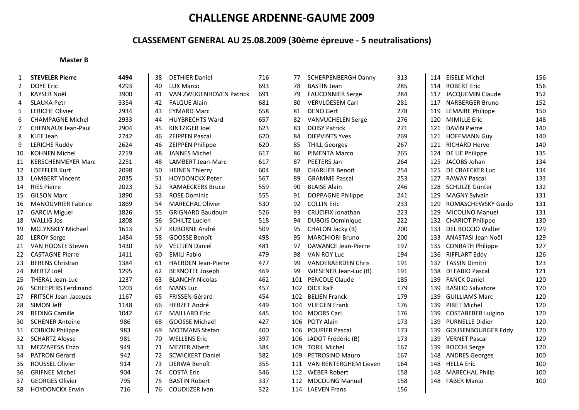## **CLASSEMENT GENERAL AU 25.08.2009 (30ème épreuve ‐ 5 neutralisations)**

#### **Master B**

| 1              | <b>STEVELER Pierre</b>      | 4494 | 38 | <b>DETHIER Daniel</b>      | 716 | 77  | <b>SCHERPENBERGH Danny</b> | 313 | 114 | <b>EISELE Michel</b>      | 156 |
|----------------|-----------------------------|------|----|----------------------------|-----|-----|----------------------------|-----|-----|---------------------------|-----|
| $\overline{2}$ | <b>DOYE Eric</b>            | 4293 | 40 | <b>LUX Marco</b>           | 693 | 78  | <b>BASTIN Jean</b>         | 285 | 114 | <b>ROBERT Eric</b>        | 156 |
| 3              | <b>KAYSER Noël</b>          | 3900 | 41 | VAN ZWIJGENHOVEN Patrick   | 691 | 79  | <b>FAUCONNIER Serge</b>    | 284 | 117 | <b>JACQUEMIN Claude</b>   | 152 |
| 4              | <b>SLAUKA Petr</b>          | 3354 | 42 | <b>FALQUE Alain</b>        | 681 | 80  | <b>VERVLOESEM Carl</b>     | 281 | 117 | <b>NARBERGER Bruno</b>    | 152 |
| 5              | <b>LERICHE Olivier</b>      | 2934 | 43 | <b>EYMARD Marc</b>         | 658 | 81  | <b>DENO Gert</b>           | 278 | 119 | <b>LEMAIRE Philippe</b>   | 150 |
| 6              | <b>CHAMPAGNE Michel</b>     | 2933 | 44 | <b>HUYBRECHTS Ward</b>     | 657 | 82  | <b>VANVUCHELEN Serge</b>   | 276 | 120 | <b>MIMILLE Eric</b>       | 148 |
| $\overline{7}$ | <b>CHENNAUX Jean-Paul</b>   | 2904 | 45 | KINTZIGER Joël             | 623 | 83  | <b>DOISY Patrick</b>       | 271 | 121 | <b>DAVIN Pierre</b>       | 140 |
| 8              | <b>KLEE Jean</b>            | 2742 | 46 | <b>ZEIPPEN Pascal</b>      | 620 | 84  | <b>DIEPVINTS Yves</b>      | 269 | 121 | <b>HOFFMANN Guy</b>       | 140 |
| 9              | <b>LERICHE Ruddy</b>        | 2624 | 46 | <b>ZEIPPEN Philippe</b>    | 620 | 85  | <b>THILL Georges</b>       | 267 | 121 | <b>RICHARD Herve</b>      | 140 |
| 10             | <b>KOHNEN Michel</b>        | 2259 | 48 | <b>JANNES Michel</b>       | 617 | 86  | <b>PIMENTA Marco</b>       | 265 | 124 | DE LIE Philippe           | 135 |
| 11             | <b>KERSCHENMEYER Marc</b>   | 2251 | 48 | <b>LAMBERT Jean-Marc</b>   | 617 | 87  | PEETERS Jan                | 264 | 125 | JACOBS Johan              | 134 |
| 12             | <b>LOEFFLER Kurt</b>        | 2098 | 50 | <b>HEINEN Thierry</b>      | 604 | 88  | <b>CHARLIER Benoît</b>     | 254 | 125 | DE CRAECKER Luc           | 134 |
| 13             | <b>LAMBERT Vincent</b>      | 2035 | 51 | HOYDONCKX Peter            | 567 | 89  | <b>GRAMME Pascal</b>       | 253 | 127 | <b>RAWAY Pascal</b>       | 133 |
| 14             | <b>RIES Pierre</b>          | 2023 | 52 | <b>RAMAECKERS Bruce</b>    | 559 | 90  | <b>BLAISE Alain</b>        | 246 | 128 | SCHULZE Günter            | 132 |
| 15             | <b>GILSON Marc</b>          | 1890 | 53 | <b>ROSE Dominic</b>        | 555 | 91  | DOPPAGNE Philippe          | 241 | 129 | <b>MAGNY Sylvain</b>      | 131 |
| 16             | <b>MANOUVRIER Fabrice</b>   | 1869 | 54 | <b>MARECHAL Olivier</b>    | 530 | 92  | <b>COLLIN Eric</b>         | 233 | 129 | ROMASCHEWSKY Guido        | 131 |
| 17             | <b>GARCIA Miguel</b>        | 1826 | 55 | <b>GRIGNARD Baudouin</b>   | 526 | 93  | CRUCIFIX Jonathan          | 223 | 129 | MICOLINO Manuel           | 131 |
| 18             | <b>WALLIG Jos</b>           | 1808 | 56 | <b>SCHILTZ Lucien</b>      | 518 | 94  | <b>DUBOIS Dominique</b>    | 222 | 132 | <b>CHARIOT Philippe</b>   | 130 |
| 19             | MCLYNSKEY Michaël           | 1613 | 57 | <b>KUBORNE André</b>       | 509 | 95  | CHALON Jacky (B)           | 200 | 133 | DEL BOCCIO Walter         | 129 |
| 20             | <b>LEROY Serge</b>          | 1484 | 58 | GOOSSE Benoît              | 498 | 95  | <b>MARCHIORI Bruno</b>     | 200 | 133 | ANASTASI Jean Noël        | 129 |
| 21             | VAN HOOSTE Steven           | 1430 | 59 | <b>VELTJEN Daniel</b>      | 481 | 97  | <b>DAWANCE Jean-Pierre</b> | 197 | 135 | <b>CONRATH Philippe</b>   | 127 |
| 22             | <b>CASTAGNE Pierre</b>      | 1411 | 60 | <b>EMILI Fabio</b>         | 479 | 98  | <b>VAN ROY Luc</b>         | 194 | 136 | RIFFLART Eddy             | 126 |
| 23             | <b>BERENS Christian</b>     | 1384 | 61 | <b>HAERDEN Jean-Pierre</b> | 477 | 99  | <b>VANDERAERDEN Chris</b>  | 191 | 137 | <b>TASSIN Dimitri</b>     | 123 |
| 24             | MERTZ Joël                  | 1295 | 62 | <b>BERNOTTE Joseph</b>     | 469 | 99  | WIESENER Jean-Luc (B)      | 191 | 138 | DI FABIO Pascal           | 121 |
| 25             | <b>THERAL Jean-Luc</b>      | 1237 | 63 | <b>BLANCHY Nicolas</b>     | 462 | 101 | PENCOLE Claude             | 185 | 139 | <b>FANCK Daniel</b>       | 120 |
| 26             | <b>SCHEEPERS Ferdinand</b>  | 1203 | 64 | <b>MANS Luc</b>            | 457 | 102 | <b>DICK Ralf</b>           | 179 | 139 | <b>BASILIO Salvatore</b>  | 120 |
| 27             | <b>FRITSCH Jean-Jacques</b> | 1167 | 65 | FRISSEN Gérard             | 454 | 102 | <b>BELIEN Franck</b>       | 179 | 139 | <b>GUILLIAMS Marc</b>     | 120 |
| 28             | SIMON Jeff                  | 1148 | 66 | <b>HERZET André</b>        | 449 | 104 | <b>VLIEGEN Frank</b>       | 176 | 139 | <b>PIRET Michel</b>       | 120 |
| 29             | <b>REDING Camille</b>       | 1042 | 67 | <b>MAILLARD Eric</b>       | 445 | 104 | <b>MOORS Carl</b>          | 176 | 139 | <b>COSTABEBER Luigino</b> | 120 |
| 30             | <b>SCHENER Antoine</b>      | 986  | 68 | GOOSSE Michaël             | 427 | 106 | <b>POTY Alain</b>          | 173 | 139 | <b>PURNELLE Didier</b>    | 120 |
| 31             | <b>COIBION Philippe</b>     | 983  | 69 | <b>MOTMANS Stefan</b>      | 400 | 106 | <b>POUPIER Pascal</b>      | 173 | 139 | <b>GOUSENBOURGER Eddy</b> | 120 |
| 32             | <b>SCHARTZ Aloyse</b>       | 981  | 70 | <b>WELLENS Eric</b>        | 397 | 106 | JADOT Frédéric (B)         | 173 | 139 | <b>VERNET Pascal</b>      | 120 |
| 33             | <b>MEZZAPESA Enzo</b>       | 949  | 71 | <b>MEZIER Albert</b>       | 384 | 109 | <b>TORIL Michel</b>        | 167 | 139 | <b>ROCCHI Serge</b>       | 120 |
| 34             | PATRON Gérard               | 942  | 72 | <b>SCWICKERT Daniel</b>    | 382 | 109 | PETROSINO Mauro            | 167 | 148 | <b>ANDRES Georges</b>     | 100 |
| 35             | <b>ROUSSEL Olivier</b>      | 914  | 73 | <b>DERWA Benoît</b>        | 355 | 111 | VAN RENTERGHEM Lieven      | 164 | 148 | <b>HELLA Eric</b>         | 100 |
| 36             | <b>GRIFNEE Michel</b>       | 904  | 74 | <b>COSTA Eric</b>          | 346 | 112 | <b>WEBER Robert</b>        | 158 | 148 | <b>MARECHAL Philip</b>    | 100 |
| 37             | <b>GEORGES Olivier</b>      | 795  | 75 | <b>BASTIN Robert</b>       | 337 | 112 | <b>MOCOLING Manuel</b>     | 158 | 148 | <b>FABER Marco</b>        | 100 |
| 38             | <b>HOYDONCKX Erwin</b>      | 716  | 76 | <b>COUDIJZER Ivan</b>      | 322 |     | 114 LAEVEN Frans           | 156 |     |                           |     |